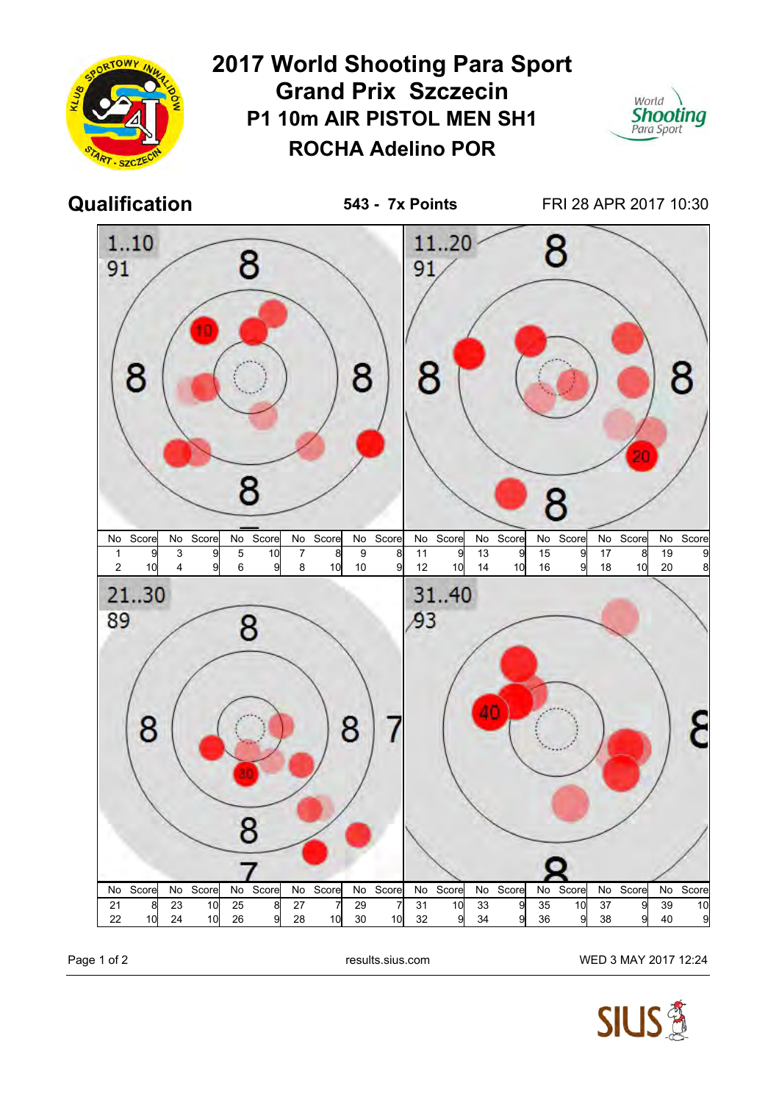

Page 1 of 2 **Page 1 of 2** results.sius.com WED 3 MAY 2017 12:24